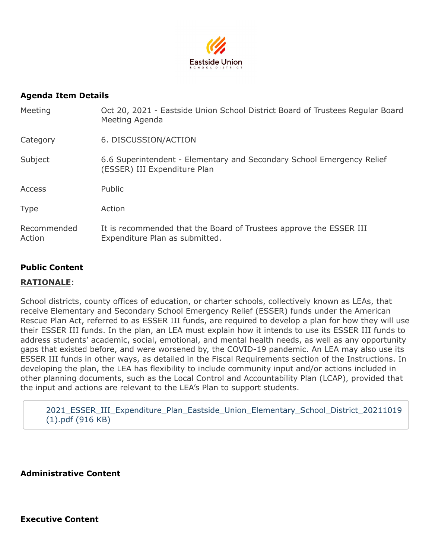

#### **Agenda Item Details**

| Meeting               | Oct 20, 2021 - Eastside Union School District Board of Trustees Regular Board<br>Meeting Agenda       |  |  |
|-----------------------|-------------------------------------------------------------------------------------------------------|--|--|
| Category              | 6. DISCUSSION/ACTION                                                                                  |  |  |
| Subject               | 6.6 Superintendent - Elementary and Secondary School Emergency Relief<br>(ESSER) III Expenditure Plan |  |  |
| <b>Access</b>         | Public                                                                                                |  |  |
| <b>Type</b>           | Action                                                                                                |  |  |
| Recommended<br>Action | It is recommended that the Board of Trustees approve the ESSER III<br>Expenditure Plan as submitted.  |  |  |

#### **Public Content**

#### **RATIONALE**:

School districts, county offices of education, or charter schools, collectively known as LEAs, that receive Elementary and Secondary School Emergency Relief (ESSER) funds under the American Rescue Plan Act, referred to as ESSER III funds, are required to develop a plan for how they will use their ESSER III funds. In the plan, an LEA must explain how it intends to use its ESSER III funds to address students' academic, social, emotional, and mental health needs, as well as any opportunity gaps that existed before, and were worsened by, the COVID-19 pandemic. An LEA may also use its ESSER III funds in other ways, as detailed in the Fiscal Requirements section of the Instructions. In developing the plan, the LEA has flexibility to include community input and/or actions included in other planning documents, such as the Local Control and Accountability Plan (LCAP), provided that the input and actions are relevant to the LEA's Plan to support students.

[2021\\_ESSER\\_III\\_Expenditure\\_Plan\\_Eastside\\_Union\\_Elementary\\_School\\_District\\_20211019](https://go.boarddocs.com/ca/eastside/Board.nsf/files/C7XSXE72B4A7/$file/2021_ESSER_III_Expenditure_Plan_Eastside_Union_Elementary_School_District_20211019%20(1).pdf) (1).pdf (916 KB)

**Administrative Content**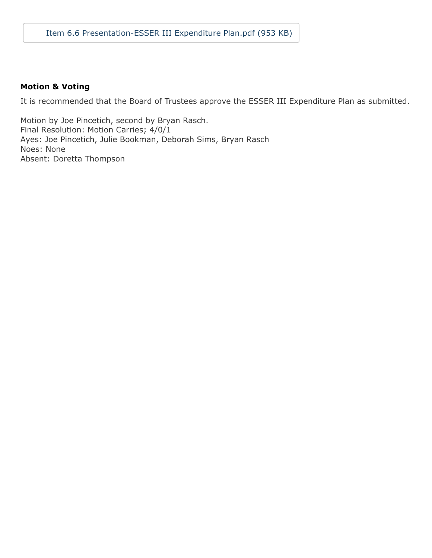#### **Motion & Voting**

It is recommended that the Board of Trustees approve the ESSER III Expenditure Plan as submitted.

Motion by Joe Pincetich, second by Bryan Rasch. Final Resolution: Motion Carries; 4/0/1 Ayes: Joe Pincetich, Julie Bookman, Deborah Sims, Bryan Rasch Noes: None Absent: Doretta Thompson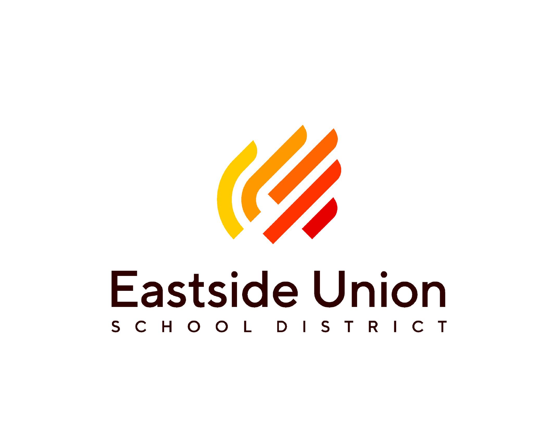

# **Eastside Union** SCHOOL DIST RICT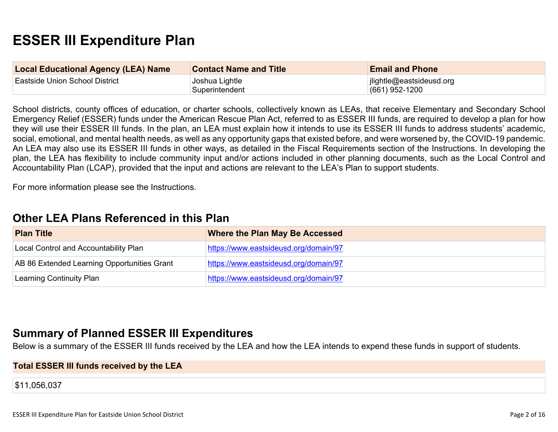# **ESSER III Expenditure Plan**

| <b>Local Educational Agency (LEA) Name</b> | <b>Contact Name and Title</b><br><b>Email and Phone</b> |                                              |
|--------------------------------------------|---------------------------------------------------------|----------------------------------------------|
| Eastside Union School District             | Joshua Lightle<br>Superintendent                        | ilightle@eastsideusd.org<br>$(661)$ 952-1200 |

School districts, county offices of education, or charter schools, collectively known as LEAs, that receive Elementary and Secondary School Emergency Relief (ESSER) funds under the American Rescue Plan Act, referred to as ESSER III funds, are required to develop a plan for how they will use their ESSER III funds. In the plan, an LEA must explain how it intends to use its ESSER III funds to address students' academic, social, emotional, and mental health needs, as well as any opportunity gaps that existed before, and were worsened by, the COVID-19 pandemic. An LEA may also use its ESSER III funds in other ways, as detailed in the Fiscal Requirements section of the Instructions. In developing the plan, the LEA has flexibility to include community input and/or actions included in other planning documents, such as the Local Control and Accountability Plan (LCAP), provided that the input and actions are relevant to the LEA's Plan to support students.

For more information please see the Instructions.

### **Other LEA Plans [Referenced](#page-12-0) in this Plan**

| <b>Plan Title</b>                           | <b>Where the Plan May Be Accessed</b> |
|---------------------------------------------|---------------------------------------|
| Local Control and Accountability Plan       | https://www.eastsideusd.org/domain/97 |
| AB 86 Extended Learning Opportunities Grant | https://www.eastsideusd.org/domain/97 |
| Learning Continuity Plan                    | https://www.eastsideusd.org/domain/97 |

### **Summary of Planned ESSER III [Expenditures](#page-12-1)**

Below is a summary of the ESSER III funds received by the LEA and how the LEA intends to expend these funds in support of students.

#### **Total ESSER III funds received by the LEA**

\$11,056,037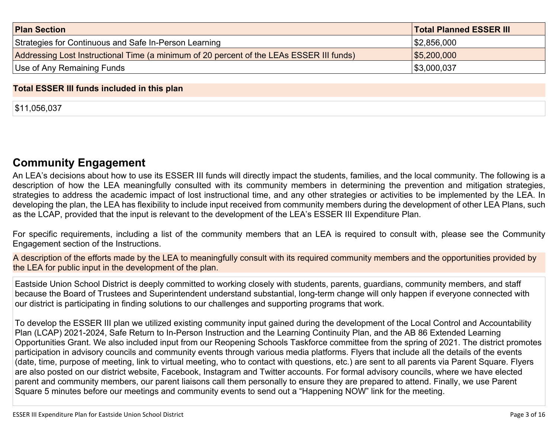| <b>Plan Section</b>                                                                      | <b>Total Planned ESSER III</b> |
|------------------------------------------------------------------------------------------|--------------------------------|
| Strategies for Continuous and Safe In-Person Learning                                    | 1\$2,856,000                   |
| Addressing Lost Instructional Time (a minimum of 20 percent of the LEAs ESSER III funds) | \$5,200,000                    |
| Use of Any Remaining Funds                                                               | \$3,000,037                    |

#### **Total ESSER III funds included in this plan**

\$11,056,037

### **Community [Engagement](#page-13-0)**

An LEA's decisions about how to use its ESSER III funds will directly impact the students, families, and the local community. The following is a description of how the LEA meaningfully consulted with its community members in determining the prevention and mitigation strategies, strategies to address the academic impact of lost instructional time, and any other strategies or activities to be implemented by the LEA. In developing the plan, the LEA has flexibility to include input received from community members during the development of other LEA Plans, such as the LCAP, provided that the input is relevant to the development of the LEA's ESSER III Expenditure Plan.

For specific requirements, including a list of the community members that an LEA is required to consult with, please see the Community Engagement section of the Instructions.

A description of the efforts made by the LEA to meaningfully consult with its required community members and the opportunities provided by the LEA for public input in the development of the plan.

Eastside Union School District is deeply committed to working closely with students, parents, guardians, community members, and staff because the Board of Trustees and Superintendent understand substantial, long-term change will only happen if everyone connected with our district is participating in finding solutions to our challenges and supporting programs that work.

To develop the ESSER III plan we utilized existing community input gained during the development of the Local Control and Accountability Plan (LCAP) 2021-2024, Safe Return to In-Person Instruction and the Learning Continuity Plan, and the AB 86 Extended Learning Opportunities Grant. We also included input from our Reopening Schools Taskforce committee from the spring of 2021. The district promotes participation in advisory councils and community events through various media platforms. Flyers that include all the details of the events (date, time, purpose of meeting, link to virtual meeting, who to contact with questions, etc.) are sent to all parents via Parent Square. Flyers are also posted on our district website, Facebook, Instagram and Twitter accounts. For formal advisory councils, where we have elected parent and community members, our parent liaisons call them personally to ensure they are prepared to attend. Finally, we use Parent Square 5 minutes before our meetings and community events to send out a "Happening NOW" link for the meeting.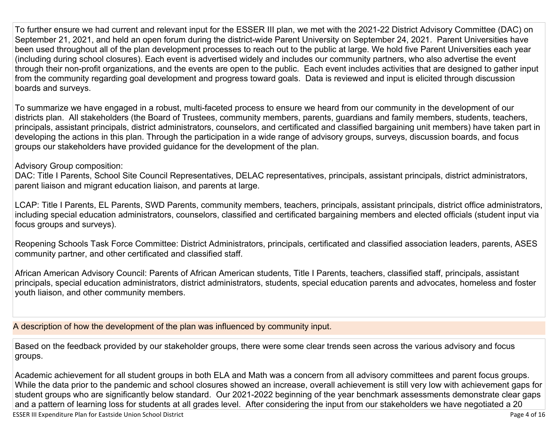To further ensure we had current and relevant input for the ESSER III plan, we met with the 2021-22 District Advisory Committee (DAC) on September 21, 2021, and held an open forum during the district-wide Parent University on September 24, 2021. Parent Universities have been used throughout all of the plan development processes to reach out to the public at large. We hold five Parent Universities each year (including during school closures). Each event is advertised widely and includes our community partners, who also advertise the event through their non-profit organizations, and the events are open to the public. Each event includes activities that are designed to gather input from the community regarding goal development and progress toward goals. Data is reviewed and input is elicited through discussion boards and surveys.

To summarize we have engaged in a robust, multi-faceted process to ensure we heard from our community in the development of our districts plan. All stakeholders (the Board of Trustees, community members, parents, guardians and family members, students, teachers, principals, assistant principals, district administrators, counselors, and certificated and classified bargaining unit members) have taken part in developing the actions in this plan. Through the participation in a wide range of advisory groups, surveys, discussion boards, and focus groups our stakeholders have provided guidance for the development of the plan.

#### Advisory Group composition:

DAC: Title I Parents, School Site Council Representatives, DELAC representatives, principals, assistant principals, district administrators, parent liaison and migrant education liaison, and parents at large.

LCAP: Title I Parents, EL Parents, SWD Parents, community members, teachers, principals, assistant principals, district office administrators, including special education administrators, counselors, classified and certificated bargaining members and elected officials (student input via focus groups and surveys).

Reopening Schools Task Force Committee: District Administrators, principals, certificated and classified association leaders, parents, ASES community partner, and other certificated and classified staff.

African American Advisory Council: Parents of African American students, Title I Parents, teachers, classified staff, principals, assistant principals, special education administrators, district administrators, students, special education parents and advocates, homeless and foster youth liaison, and other community members.

A description of how the development of the plan was influenced by community input.

Based on the feedback provided by our stakeholder groups, there were some clear trends seen across the various advisory and focus groups.

Academic achievement for all student groups in both ELA and Math was a concern from all advisory committees and parent focus groups. While the data prior to the pandemic and school closures showed an increase, overall achievement is still very low with achievement gaps for student groups who are significantly below standard. Our 2021-2022 beginning of the year benchmark assessments demonstrate clear gaps and a pattern of learning loss for students at all grades level. After considering the input from our stakeholders we have negotiated a 20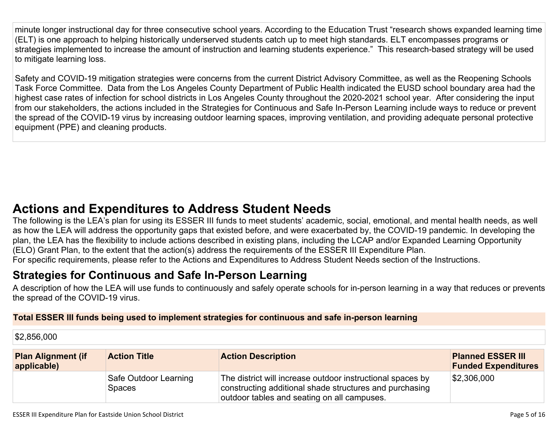minute longer instructional day for three consecutive school years. According to the Education Trust "research shows expanded learning time (ELT) is one approach to helping historically underserved students catch up to meet high standards. ELT encompasses programs or strategies implemented to increase the amount of instruction and learning students experience." This research-based strategy will be used to mitigate learning loss.

Safety and COVID-19 mitigation strategies were concerns from the current District Advisory Committee, as well as the Reopening Schools Task Force Committee. Data from the Los Angeles County Department of Public Health indicated the EUSD school boundary area had the highest case rates of infection for school districts in Los Angeles County throughout the 2020-2021 school year. After considering the input from our stakeholders, the actions included in the Strategies for Continuous and Safe In-Person Learning include ways to reduce or prevent the spread of the COVID-19 virus by increasing outdoor learning spaces, improving ventilation, and providing adequate personal protective equipment (PPE) and cleaning products.

# **Actions and [Expenditures](#page-15-0) to Address Student Needs**

The following is the LEA's plan for using its ESSER III funds to meet students' academic, social, emotional, and mental health needs, as well as how the LEA will address the opportunity gaps that existed before, and were exacerbated by, the COVID-19 pandemic. In developing the plan, the LEA has the flexibility to include actions described in existing plans, including the LCAP and/or Expanded Learning Opportunity (ELO) Grant Plan, to the extent that the action(s) address the requirements of the ESSER III Expenditure Plan. For specific requirements, please refer to the Actions and Expenditures to Address Student Needs section of the Instructions.

# **Strategies for [Continuous](#page-15-1) and Safe In-Person Learning**

A description of how the LEA will use funds to continuously and safely operate schools for in-person learning in a way that reduces or prevents the spread of the COVID-19 virus.

#### **Total ESSER III funds being used to implement strategies for continuous and safe in-person learning**

\$2,856,000

| <b>Plan Alignment (if</b><br>applicable) | <b>Action Title</b>                    | <b>Action Description</b>                                                                                                                                            | <b>Planned ESSER III</b><br><b>Funded Expenditures</b> |
|------------------------------------------|----------------------------------------|----------------------------------------------------------------------------------------------------------------------------------------------------------------------|--------------------------------------------------------|
|                                          | Safe Outdoor Learning<br><b>Spaces</b> | The district will increase outdoor instructional spaces by<br>constructing additional shade structures and purchasing<br>outdoor tables and seating on all campuses. | \$2,306,000                                            |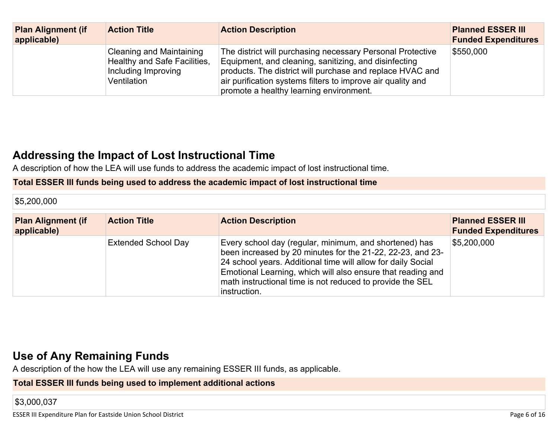| <b>Plan Alignment (if</b><br>applicable) | <b>Action Title</b>                                                                                   | <b>Action Description</b>                                                                                                                                                                                                                                                                  | <b>Planned ESSER III</b><br><b>Funded Expenditures</b> |
|------------------------------------------|-------------------------------------------------------------------------------------------------------|--------------------------------------------------------------------------------------------------------------------------------------------------------------------------------------------------------------------------------------------------------------------------------------------|--------------------------------------------------------|
|                                          | Cleaning and Maintaining<br><b>Healthy and Safe Facilities,</b><br>Including Improving<br>Ventilation | The district will purchasing necessary Personal Protective<br>Equipment, and cleaning, sanitizing, and disinfecting<br>products. The district will purchase and replace HVAC and<br>air purification systems filters to improve air quality and<br>promote a healthy learning environment. | \$550,000                                              |

## **Addressing the Impact of Lost [Instructional](#page-16-0) Tim[e](#page-16-0)**

A description of how the LEA will use funds to address the academic impact of lost instructional time.

#### **Total ESSER III funds being used to address the academic impact of lost instructional time**

\$5,200,000

| <b>Plan Alignment (if</b><br>applicable) | <b>Action Title</b>        | <b>Action Description</b>                                                                                                                                                                                                                                                                                                        | <b>Planned ESSER III</b><br><b>Funded Expenditures</b> |
|------------------------------------------|----------------------------|----------------------------------------------------------------------------------------------------------------------------------------------------------------------------------------------------------------------------------------------------------------------------------------------------------------------------------|--------------------------------------------------------|
|                                          | <b>Extended School Day</b> | Every school day (regular, minimum, and shortened) has<br>been increased by 20 minutes for the 21-22, 22-23, and 23-<br>24 school years. Additional time will allow for daily Social<br>Emotional Learning, which will also ensure that reading and<br>math instructional time is not reduced to provide the SEL<br>instruction. | $\$5,200,000$                                          |

## **Use of Any [Remaining](#page-16-1) Fund[s](#page-16-1)**

A description of the how the LEA will use any remaining ESSER III funds, as applicable.

**Total ESSER III funds being used to implement additional actions**

\$3,000,037

ESSER III Expenditure Plan for Eastside Union School District **National School District** Page 6 of 16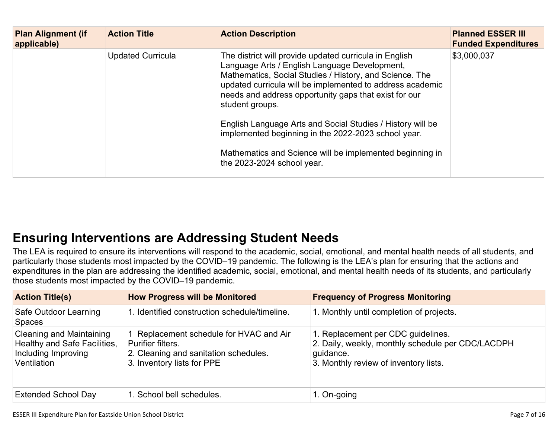| <b>Plan Alignment (if</b><br>applicable) | <b>Action Title</b>      | <b>Action Description</b>                                                                                                                                                                                                                                                                                                                                                                                                                                                                                                  | <b>Planned ESSER III</b><br><b>Funded Expenditures</b> |
|------------------------------------------|--------------------------|----------------------------------------------------------------------------------------------------------------------------------------------------------------------------------------------------------------------------------------------------------------------------------------------------------------------------------------------------------------------------------------------------------------------------------------------------------------------------------------------------------------------------|--------------------------------------------------------|
|                                          | <b>Updated Curricula</b> | The district will provide updated curricula in English<br>Language Arts / English Language Development,<br>Mathematics, Social Studies / History, and Science. The<br>updated curricula will be implemented to address academic<br>needs and address opportunity gaps that exist for our<br>student groups.<br>English Language Arts and Social Studies / History will be<br>implemented beginning in the 2022-2023 school year.<br>Mathematics and Science will be implemented beginning in<br>the 2023-2024 school year. | \$3,000,037                                            |

# **Ensuring [Interventions](#page-16-2) are Addressing Student Need[s](#page-16-2)**

The LEA is required to ensure its interventions will respond to the academic, social, emotional, and mental health needs of all students, and particularly those students most impacted by the COVID–19 pandemic. The following is the LEA's plan for ensuring that the actions and expenditures in the plan are addressing the identified academic, social, emotional, and mental health needs of its students, and particularly those students most impacted by the COVID–19 pandemic.

| <b>Action Title(s)</b>                                                                                       | <b>How Progress will be Monitored</b>                                                                                             | <b>Frequency of Progress Monitoring</b>                                                                                                       |
|--------------------------------------------------------------------------------------------------------------|-----------------------------------------------------------------------------------------------------------------------------------|-----------------------------------------------------------------------------------------------------------------------------------------------|
| Safe Outdoor Learning<br><b>Spaces</b>                                                                       | 1. Identified construction schedule/timeline.                                                                                     | 1. Monthly until completion of projects.                                                                                                      |
| <b>Cleaning and Maintaining</b><br><b>Healthy and Safe Facilities,</b><br>Including Improving<br>Ventilation | Replacement schedule for HVAC and Air<br>Purifier filters.<br>2. Cleaning and sanitation schedules.<br>3. Inventory lists for PPE | 1. Replacement per CDC guidelines.<br>2. Daily, weekly, monthly schedule per CDC/LACDPH<br>quidance.<br>3. Monthly review of inventory lists. |
| <b>Extended School Day</b>                                                                                   | 1. School bell schedules.                                                                                                         | 1. On-going                                                                                                                                   |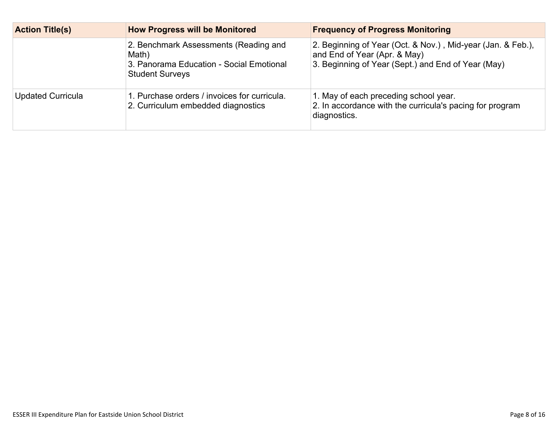| <b>Action Title(s)</b>   | <b>How Progress will be Monitored</b>                                                                                | <b>Frequency of Progress Monitoring</b>                                                                                                           |  |
|--------------------------|----------------------------------------------------------------------------------------------------------------------|---------------------------------------------------------------------------------------------------------------------------------------------------|--|
|                          | 2. Benchmark Assessments (Reading and<br>Math)<br>3. Panorama Education - Social Emotional<br><b>Student Surveys</b> | 2. Beginning of Year (Oct. & Nov.), Mid-year (Jan. & Feb.),<br>and End of Year (Apr. & May)<br>3. Beginning of Year (Sept.) and End of Year (May) |  |
| <b>Updated Curricula</b> | 1. Purchase orders / invoices for curricula.<br>2. Curriculum embedded diagnostics                                   | 1. May of each preceding school year.<br>2. In accordance with the curricula's pacing for program<br>diagnostics.                                 |  |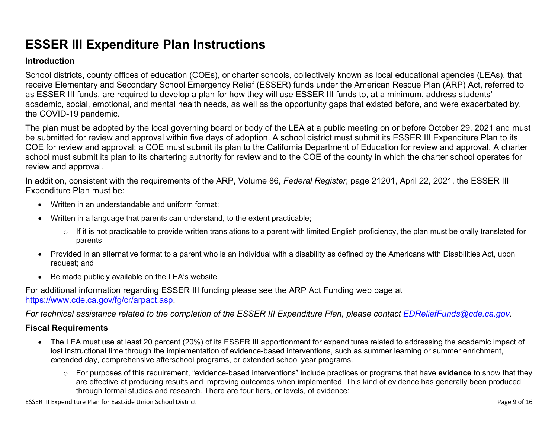# **ESSER III Expenditure Plan Instructions**

#### **Introduction**

School districts, county offices of education (COEs), or charter schools, collectively known as local educational agencies (LEAs), that receive Elementary and Secondary School Emergency Relief (ESSER) funds under the American Rescue Plan (ARP) Act, referred to as ESSER III funds, are required to develop a plan for how they will use ESSER III funds to, at a minimum, address students' academic, social, emotional, and mental health needs, as well as the opportunity gaps that existed before, and were exacerbated by, the COVID-19 pandemic.

The plan must be adopted by the local governing board or body of the LEA at a public meeting on or before October 29, 2021 and must be submitted for review and approval within five days of adoption. A school district must submit its ESSER III Expenditure Plan to its COE for review and approval; a COE must submit its plan to the California Department of Education for review and approval. A charter school must submit its plan to its chartering authority for review and to the COE of the county in which the charter school operates for review and approval.

In addition, consistent with the requirements of the ARP, Volume 86, *Federal Register*, page 21201, April 22, 2021, the ESSER III Expenditure Plan must be:

- Written in an understandable and uniform format;
- Written in a language that parents can understand, to the extent practicable;
	- $\circ$  If it is not practicable to provide written translations to a parent with limited English proficiency, the plan must be orally translated for parents
- Provided in an alternative format to a parent who is an individual with a disability as defined by the Americans with Disabilities Act, upon request; and
- Be made publicly available on the LEA's website.

For additional information regarding ESSER III funding please see the ARP Act Funding web page at <https://www.cde.ca.gov/fg/cr/arpact.asp>.

For technical assistance related to the completion of the ESSER III Expenditure Plan, please contact [EDReliefFunds@cde.ca.gov](mailto:EDReliefFunds@cde.ca.gov).

#### **Fiscal Requirements**

- The LEA must use at least 20 percent (20%) of its ESSER III apportionment for expenditures related to addressing the academic impact of lost instructional time through the implementation of evidence-based interventions, such as summer learning or summer enrichment, extended day, comprehensive afterschool programs, or extended school year programs.
	- o For purposes of this requirement, "evidence-based interventions" include practices or programs that have **evidence** to show that they are effective at producing results and improving outcomes when implemented. This kind of evidence has generally been produced through formal studies and research. There are four tiers, or levels, of evidence: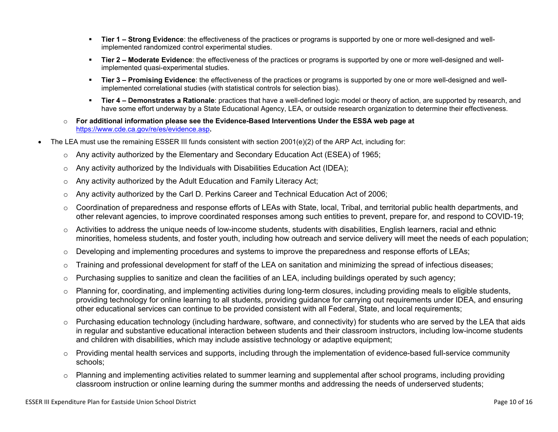- **Tier 1 – Strong Evidence**: the effectiveness of the practices or programs is supported by one or more well-designed and wellimplemented randomized control experimental studies.
- **Tier 2 – Moderate Evidence**: the effectiveness of the practices or programs is supported by one or more well-designed and wellimplemented quasi-experimental studies.
- **Tier 3 – Promising Evidence**: the effectiveness of the practices or programs is supported by one or more well-designed and wellimplemented correlational studies (with statistical controls for selection bias).
- **Tier 4 – Demonstrates a Rationale**: practices that have a well-defined logic model or theory of action, are supported by research, and have some effort underway by a State Educational Agency, LEA, or outside research organization to determine their effectiveness.
- o **For additional information please see the Evidence-Based Interventions Under the ESSA web page at** <https://www.cde.ca.gov/re/es/evidence.asp>**.**
- The LEA must use the remaining ESSER III funds consistent with section 2001(e)(2) of the ARP Act, including for:
	- $\circ$  Any activity authorized by the Elementary and Secondary Education Act (ESEA) of 1965;
	- $\circ$  Any activity authorized by the Individuals with Disabilities Education Act (IDEA);
	- o Any activity authorized by the Adult Education and Family Literacy Act;
	- $\circ$  Any activity authorized by the Carl D. Perkins Career and Technical Education Act of 2006;
	- $\circ$  Coordination of preparedness and response efforts of LEAs with State, local, Tribal, and territorial public health departments, and other relevant agencies, to improve coordinated responses among such entities to prevent, prepare for, and respond to COVID-19;
	- $\circ$  Activities to address the unique needs of low-income students, students with disabilities, English learners, racial and ethnic minorities, homeless students, and foster youth, including how outreach and service delivery will meet the needs of each population;
	- o Developing and implementing procedures and systems to improve the preparedness and response efforts of LEAs;
	- $\circ$  Training and professional development for staff of the LEA on sanitation and minimizing the spread of infectious diseases;
	- $\circ$  Purchasing supplies to sanitize and clean the facilities of an LEA, including buildings operated by such agency;
	- $\circ$  Planning for, coordinating, and implementing activities during long-term closures, including providing meals to eligible students, providing technology for online learning to all students, providing guidance for carrying out requirements under IDEA, and ensuring other educational services can continue to be provided consistent with all Federal, State, and local requirements;
	- $\circ$  Purchasing education technology (including hardware, software, and connectivity) for students who are served by the LEA that aids in regular and substantive educational interaction between students and their classroom instructors, including low-income students and children with disabilities, which may include assistive technology or adaptive equipment;
	- $\circ$  Providing mental health services and supports, including through the implementation of evidence-based full-service community schools;
	- o Planning and implementing activities related to summer learning and supplemental after school programs, including providing classroom instruction or online learning during the summer months and addressing the needs of underserved students;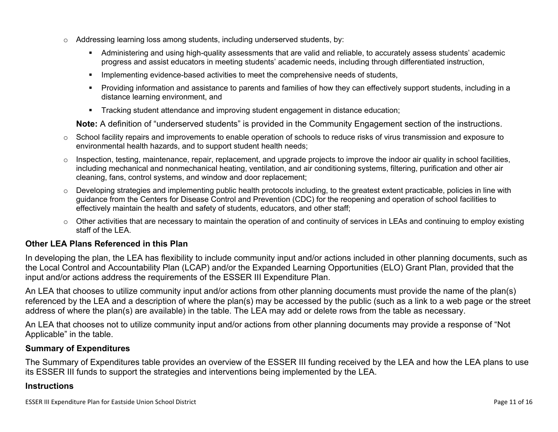- $\circ$  Addressing learning loss among students, including underserved students, by:
	- Administering and using high-quality assessments that are valid and reliable, to accurately assess students' academic progress and assist educators in meeting students' academic needs, including through differentiated instruction,
	- **IMPLEMENTER IMPLEMENT LIME STARK IMPLEMENT IMPLEMENT IMPLY** Implementing evidents,
	- Providing information and assistance to parents and families of how they can effectively support students, including in a distance learning environment, and
	- Tracking student attendance and improving student engagement in distance education;

**Note:** A definition of "underserved students" is provided in the Community Engagement section of the instructions.

- $\circ$  School facility repairs and improvements to enable operation of schools to reduce risks of virus transmission and exposure to environmental health hazards, and to support student health needs;
- $\circ$  Inspection, testing, maintenance, repair, replacement, and upgrade projects to improve the indoor air quality in school facilities, including mechanical and nonmechanical heating, ventilation, and air conditioning systems, filtering, purification and other air cleaning, fans, control systems, and window and door replacement;
- $\circ$  Developing strategies and implementing public health protocols including, to the greatest extent practicable, policies in line with guidance from the Centers for Disease Control and Prevention (CDC) for the reopening and operation of school facilities to effectively maintain the health and safety of students, educators, and other staff;
- $\circ$  Other activities that are necessary to maintain the operation of and continuity of services in LEAs and continuing to employ existing staff of the LEA.

#### <span id="page-12-0"></span>**Other LEA Plans Referenced in this Plan**

In developing the plan, the LEA has flexibility to include community input and/or actions included in other planning documents, such as the Local Control and Accountability Plan (LCAP) and/or the Expanded Learning Opportunities (ELO) Grant Plan, provided that the input and/or actions address the requirements of the ESSER III Expenditure Plan.

An LEA that chooses to utilize community input and/or actions from other planning documents must provide the name of the plan(s) referenced by the LEA and a description of where the plan(s) may be accessed by the public (such as a link to a web page or the street address of where the plan(s) are available) in the table. The LEA may add or delete rows from the table as necessary.

An LEA that chooses not to utilize community input and/or actions from other planning documents may provide a response of "Not Applicable" in the table.

#### <span id="page-12-1"></span>**Summary of Expenditures**

The Summary of Expenditures table provides an overview of the ESSER III funding received by the LEA and how the LEA plans to use its ESSER III funds to support the strategies and interventions being implemented by the LEA.

#### **Instructions**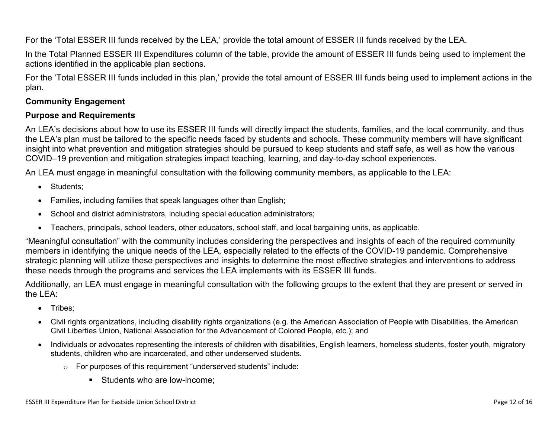For the 'Total ESSER III funds received by the LEA,' provide the total amount of ESSER III funds received by the LEA.

In the Total Planned ESSER III Expenditures column of the table, provide the amount of ESSER III funds being used to implement the actions identified in the applicable plan sections.

For the 'Total ESSER III funds included in this plan,' provide the total amount of ESSER III funds being used to implement actions in the plan.

#### <span id="page-13-0"></span>**Community Engagement**

#### **Purpose and Requirements**

An LEA's decisions about how to use its ESSER III funds will directly impact the students, families, and the local community, and thus the LEA's plan must be tailored to the specific needs faced by students and schools. These community members will have significant insight into what prevention and mitigation strategies should be pursued to keep students and staff safe, as well as how the various COVID–19 prevention and mitigation strategies impact teaching, learning, and day-to-day school experiences.

An LEA must engage in meaningful consultation with the following community members, as applicable to the LEA:

- Students:
- Families, including families that speak languages other than English;
- School and district administrators, including special education administrators;
- Teachers, principals, school leaders, other educators, school staff, and local bargaining units, as applicable.

"Meaningful consultation" with the community includes considering the perspectives and insights of each of the required community members in identifying the unique needs of the LEA, especially related to the effects of the COVID-19 pandemic. Comprehensive strategic planning will utilize these perspectives and insights to determine the most effective strategies and interventions to address these needs through the programs and services the LEA implements with its ESSER III funds.

Additionally, an LEA must engage in meaningful consultation with the following groups to the extent that they are present or served in the LEA:

- Tribes;
- Civil rights organizations, including disability rights organizations (e.g. the American Association of People with Disabilities, the American Civil Liberties Union, National Association for the Advancement of Colored People, etc.); and
- Individuals or advocates representing the interests of children with disabilities, English learners, homeless students, foster youth, migratory students, children who are incarcerated, and other underserved students.
	- o For purposes of this requirement "underserved students" include:
		- **Students who are low-income:**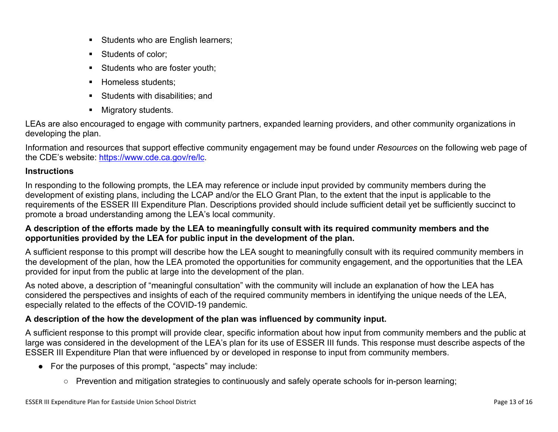- Students who are English learners;
- Students of color:
- Students who are foster youth;
- Homeless students;
- **Students with disabilities: and**
- **Migratory students.**

LEAs are also encouraged to engage with community partners, expanded learning providers, and other community organizations in developing the plan.

Information and resources that support effective community engagement may be found under *Resources* on the following web page of the CDE's website: <https://www.cde.ca.gov/re/lc>.

#### **Instructions**

In responding to the following prompts, the LEA may reference or include input provided by community members during the development of existing plans, including the LCAP and/or the ELO Grant Plan, to the extent that the input is applicable to the requirements of the ESSER III Expenditure Plan. Descriptions provided should include sufficient detail yet be sufficiently succinct to promote a broad understanding among the LEA's local community.

#### A description of the efforts made by the LEA to meaningfully consult with its required community members and the **opportunities provided by the LEA for public input in the development of the plan.**

A sufficient response to this prompt will describe how the LEA sought to meaningfully consult with its required community members in the development of the plan, how the LEA promoted the opportunities for community engagement, and the opportunities that the LEA provided for input from the public at large into the development of the plan.

As noted above, a description of "meaningful consultation" with the community will include an explanation of how the LEA has considered the perspectives and insights of each of the required community members in identifying the unique needs of the LEA, especially related to the effects of the COVID-19 pandemic.

#### **A description of the how the development of the plan was influenced by community input.**

A sufficient response to this prompt will provide clear, specific information about how input from community members and the public at large was considered in the development of the LEA's plan for its use of ESSER III funds. This response must describe aspects of the ESSER III Expenditure Plan that were influenced by or developed in response to input from community members.

- For the purposes of this prompt, "aspects" may include:
	- Prevention and mitigation strategies to continuously and safely operate schools for in-person learning;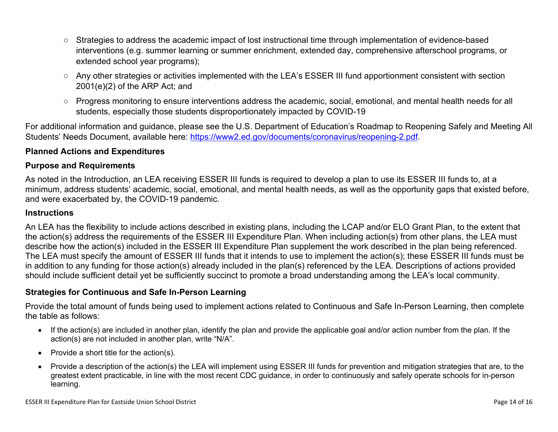- Strategies to address the academic impact of lost instructional time through implementation of evidence-based interventions (e.g. summer learning or summer enrichment, extended day, comprehensive afterschool programs, or extended school year programs);
- Any other strategies or activities implemented with the LEA's ESSER III fund apportionment consistent with section 2001(e)(2) of the ARP Act; and
- Progress monitoring to ensure interventions address the academic, social, emotional, and mental health needs for all students, especially those students disproportionately impacted by COVID-19

For additional information and guidance, please see the U.S. Department of Education's Roadmap to Reopening Safely and Meeting All Students' Needs Document, available here: [https://www2.ed.gov/documents/coronavirus/reopening-2.pdf.](https://www2.ed.gov/documents/coronavirus/reopening-2.pdf)

#### <span id="page-15-0"></span>**Planned Actions and Expenditures**

#### **Purpose and Requirements**

As noted in the Introduction, an LEA receiving ESSER III funds is required to develop a plan to use its ESSER III funds to, at a minimum, address students' academic, social, emotional, and mental health needs, as well as the opportunity gaps that existed before, and were exacerbated by, the COVID-19 pandemic.

#### **Instructions**

An LEA has the flexibility to include actions described in existing plans, including the LCAP and/or ELO Grant Plan, to the extent that the action(s) address the requirements of the ESSER III Expenditure Plan. When including action(s) from other plans, the LEA must describe how the action(s) included in the ESSER III Expenditure Plan supplement the work described in the plan being referenced. The LEA must specify the amount of ESSER III funds that it intends to use to implement the action(s); these ESSER III funds must be in addition to any funding for those action(s) already included in the plan(s) referenced by the LEA. Descriptions of actions provided should include sufficient detail yet be sufficiently succinct to promote a broad understanding among the LEA's local community.

#### <span id="page-15-1"></span>**Strategies for Continuous and Safe In-Person Learning**

Provide the total amount of funds being used to implement actions related to Continuous and Safe In-Person Learning, then complete the table as follows:

- If the action(s) are included in another plan, identify the plan and provide the applicable goal and/or action number from the plan. If the action(s) are not included in another plan, write "N/A".
- Provide a short title for the  $action(s)$ .
- Provide a description of the action(s) the LEA will implement using ESSER III funds for prevention and mitigation strategies that are, to the greatest extent practicable, in line with the most recent CDC guidance, in order to continuously and safely operate schools for in-person learning.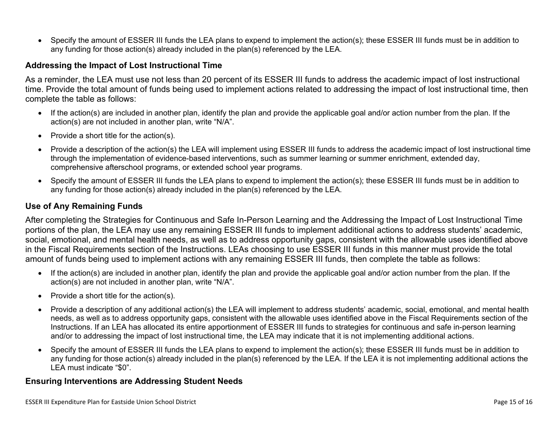Specify the amount of ESSER III funds the LEA plans to expend to implement the action(s); these ESSER III funds must be in addition to any funding for those action(s) already included in the plan(s) referenced by the LEA.

#### <span id="page-16-0"></span>**Addressing the Impact of Lost Instructional Time**

As a reminder, the LEA must use not less than 20 percent of its ESSER III funds to address the academic impact of lost instructional time. Provide the total amount of funds being used to implement actions related to addressing the impact of lost instructional time, then complete the table as follows:

- If the action(s) are included in another plan, identify the plan and provide the applicable goal and/or action number from the plan. If the action(s) are not included in another plan, write "N/A".
- Provide a short title for the  $action(s)$ .
- Provide a description of the action(s) the LEA will implement using ESSER III funds to address the academic impact of lost instructional time through the implementation of evidence-based interventions, such as summer learning or summer enrichment, extended day, comprehensive afterschool programs, or extended school year programs.
- Specify the amount of ESSER III funds the LEA plans to expend to implement the action(s); these ESSER III funds must be in addition to any funding for those action(s) already included in the plan(s) referenced by the LEA.

#### <span id="page-16-1"></span>**Use of Any Remaining Funds**

After completing the Strategies for Continuous and Safe In-Person Learning and the Addressing the Impact of Lost Instructional Time portions of the plan, the LEA may use any remaining ESSER III funds to implement additional actions to address students' academic, social, emotional, and mental health needs, as well as to address opportunity gaps, consistent with the allowable uses identified above in the Fiscal Requirements section of the Instructions. LEAs choosing to use ESSER III funds in this manner must provide the total amount of funds being used to implement actions with any remaining ESSER III funds, then complete the table as follows:

- If the action(s) are included in another plan, identify the plan and provide the applicable goal and/or action number from the plan. If the action(s) are not included in another plan, write "N/A".
- Provide a short title for the  $action(s)$ .
- Provide a description of any additional action(s) the LEA will implement to address students' academic, social, emotional, and mental health needs, as well as to address opportunity gaps, consistent with the allowable uses identified above in the Fiscal Requirements section of the Instructions. If an LEA has allocated its entire apportionment of ESSER III funds to strategies for continuous and safe in-person learning and/or to addressing the impact of lost instructional time, the LEA may indicate that it is not implementing additional actions.
- Specify the amount of ESSER III funds the LEA plans to expend to implement the action(s); these ESSER III funds must be in addition to any funding for those action(s) already included in the plan(s) referenced by the LEA. If the LEA it is not implementing additional actions the LEA must indicate "\$0".

#### <span id="page-16-2"></span>**Ensuring Interventions are Addressing Student Needs**